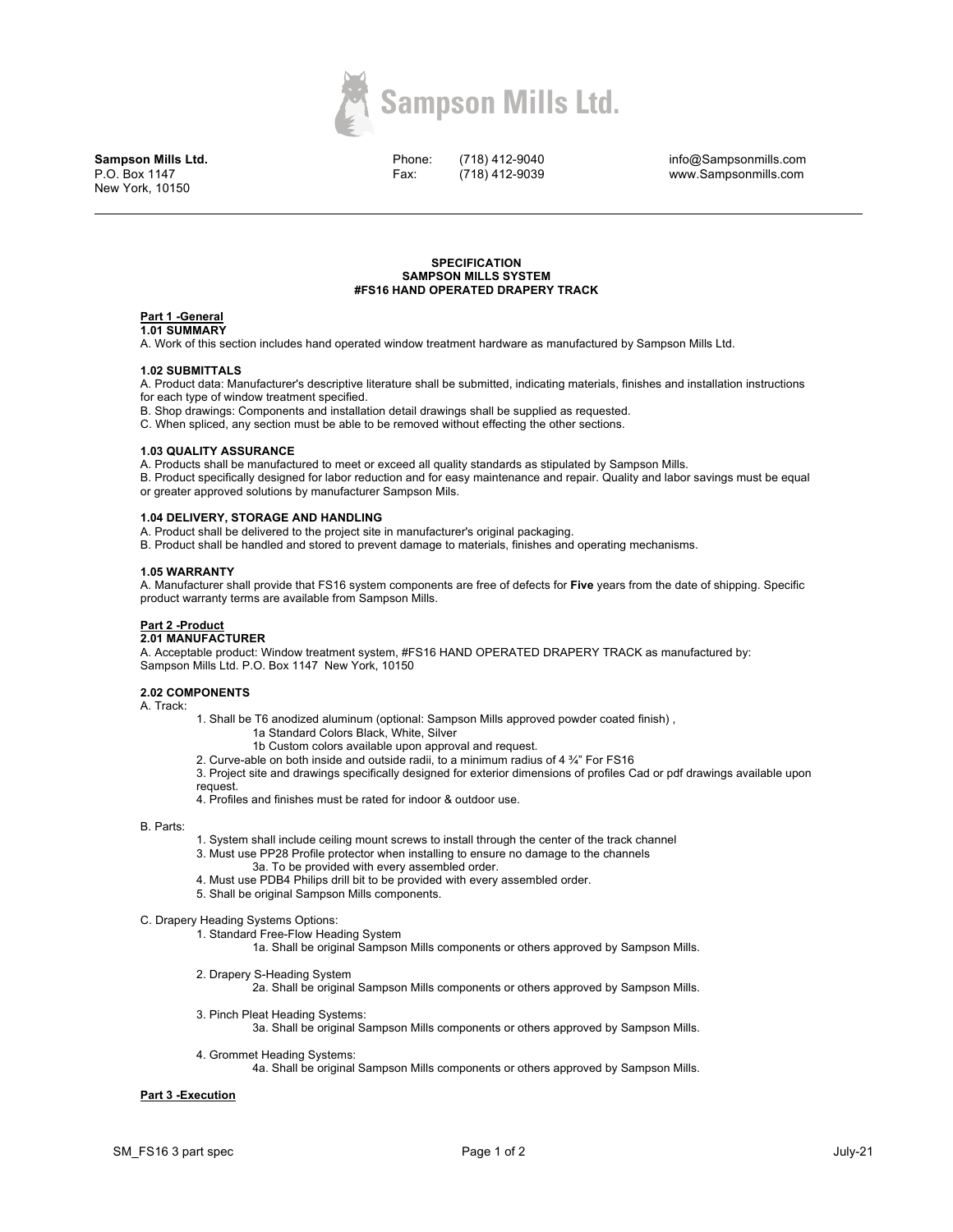

**Sampson Mills Ltd.** P.O. Box 1147 New York, 10150

Phone: Fax:

(718) 412-9040 (718) 412-9039

info@Sampsonmills.com www.Sampsonmills.com

#### **SPECIFICATION SAMPSON MILLS SYSTEM #FS16 HAND OPERATED DRAPERY TRACK**

#### **Part 1 -General 1.01 SUMMARY**

A. Work of this section includes hand operated window treatment hardware as manufactured by Sampson Mills Ltd.

### **1.02 SUBMITTALS**

A. Product data: Manufacturer's descriptive literature shall be submitted, indicating materials, finishes and installation instructions for each type of window treatment specified.

B. Shop drawings: Components and installation detail drawings shall be supplied as requested.

C. When spliced, any section must be able to be removed without effecting the other sections.

## **1.03 QUALITY ASSURANCE**

A. Products shall be manufactured to meet or exceed all quality standards as stipulated by Sampson Mills.

B. Product specifically designed for labor reduction and for easy maintenance and repair. Quality and labor savings must be equal or greater approved solutions by manufacturer Sampson Mils.

## **1.04 DELIVERY, STORAGE AND HANDLING**

A. Product shall be delivered to the project site in manufacturer's original packaging.

B. Product shall be handled and stored to prevent damage to materials, finishes and operating mechanisms.

## **1.05 WARRANTY**

A. Manufacturer shall provide that FS16 system components are free of defects for **Five** years from the date of shipping. Specific product warranty terms are available from Sampson Mills.

# **Part 2 -Product**

## **2.01 MANUFACTURER**

A. Acceptable product: Window treatment system, #FS16 HAND OPERATED DRAPERY TRACK as manufactured by: Sampson Mills Ltd. P.O. Box 1147 New York, 10150

### **2.02 COMPONENTS**

A. Track:

1. Shall be T6 anodized aluminum (optional: Sampson Mills approved powder coated finish) ,

- 1a Standard Colors Black, White, Silver
- 1b Custom colors available upon approval and request.

2. Curve-able on both inside and outside radii, to a minimum radius of 4 ¾" For FS16

3. Project site and drawings specifically designed for exterior dimensions of profiles Cad or pdf drawings available upon request.

4. Profiles and finishes must be rated for indoor & outdoor use.

#### B. Parts:

- 1. System shall include ceiling mount screws to install through the center of the track channel
- 3. Must use PP28 Profile protector when installing to ensure no damage to the channels
	- 3a. To be provided with every assembled order.
- 4. Must use PDB4 Philips drill bit to be provided with every assembled order.
- 5. Shall be original Sampson Mills components.

#### C. Drapery Heading Systems Options:

1. Standard Free-Flow Heading System

1a. Shall be original Sampson Mills components or others approved by Sampson Mills.

2. Drapery S-Heading System

2a. Shall be original Sampson Mills components or others approved by Sampson Mills.

- 3. Pinch Pleat Heading Systems:
	- 3a. Shall be original Sampson Mills components or others approved by Sampson Mills.
- 4. Grommet Heading Systems:

4a. Shall be original Sampson Mills components or others approved by Sampson Mills.

#### **Part 3 -Execution**